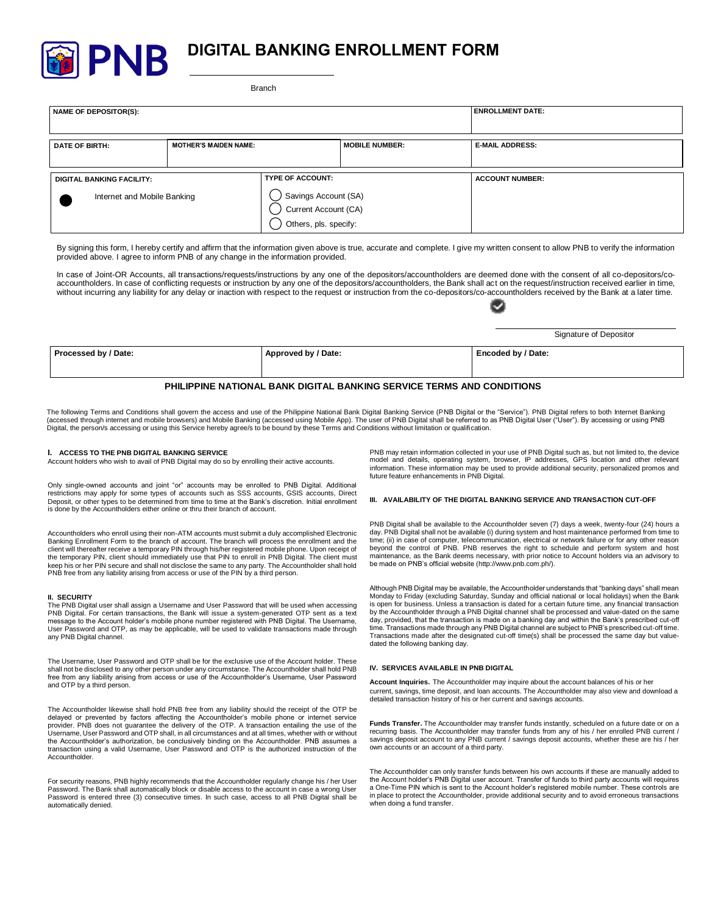

# **DIGITAL BANKING ENROLLMENT FORM**

Branch

| NAME OF DEPOSITOR(S):                                           |                              | <b>ENROLLMENT DATE:</b>                                                                            |                       |                        |  |
|-----------------------------------------------------------------|------------------------------|----------------------------------------------------------------------------------------------------|-----------------------|------------------------|--|
| <b>DATE OF BIRTH:</b>                                           | <b>MOTHER'S MAIDEN NAME:</b> |                                                                                                    | <b>MOBILE NUMBER:</b> | <b>E-MAIL ADDRESS:</b> |  |
| <b>DIGITAL BANKING FACILITY:</b><br>Internet and Mobile Banking |                              | <b>TYPE OF ACCOUNT:</b><br>)Savings Account (SA)<br>)Current Account (CA)<br>Others, pls. specify: |                       | <b>ACCOUNT NUMBER:</b> |  |

By signing this form, I hereby certify and affirm that the information given above is true, accurate and complete. I give my written consent to allow PNB to verify the information provided above. I agree to inform PNB of any change in the information provided.

In case of Joint-OR Accounts, all transactions/requests/instructions by any one of the depositors/accountholders are deemed done with the consent of all co-depositors/coaccountholders. In case of conflicting requests or instruction by any one of the depositors/accountholders, the Bank shall act on the request/instruction received earlier in time, without incurring any liability for any delay or inaction with respect to the request or instruction from the co-depositors/co-accountholders received by the Bank at a later time.

|                                                                       |                     | Signature of Depositor |  |  |  |  |
|-----------------------------------------------------------------------|---------------------|------------------------|--|--|--|--|
| Processed by / Date:                                                  | Approved by / Date: | Encoded by / Date:     |  |  |  |  |
| PHILIPPINE NATIONAL BANK DIGITAL BANKING SERVICE TERMS AND CONDITIONS |                     |                        |  |  |  |  |

#### The following Terms and Conditions shall govern the access and use of the Philippine National Bank Digital Banking Service (PNB Digital or the "Service"). PNB Digital refers to both Internet Banking (accessed through internet and mobile browsers) and Mobile Banking (accessed using Mobile App). The user of PNB Digital shall be referred to as PNB Digital User ("User"). By accessing or using PNB Digital, the person/s accessing or using this Service hereby agree/s to be bound by these Terms and Conditions without limitation or qualification.

#### **I. ACCESS TO THE PNB DIGITAL BANKING SERVICE**

Account holders who wish to avail of PNB Digital may do so by enrolling their active accounts.

Only single-owned accounts and joint "or" accounts may be enrolled to PNB Digital. Additional restrictions may apply for some types of accounts such as SSS accounts, GSIS accounts, Direct Deposit, or other types to be determined from time to time at the Bank's discretion. Initial enrollment is done by the Accountholders either online or thru their branch of account.

Accountholders who enroll using their non-ATM accounts must submit a duly accomplished Electronic Banking Enrollment Form to the branch of account. The branch will process the enrollment and the client will thereafter receive a temporary PIN through his/her registered mobile phone. Upon receipt of the temporary PIN, client should immediately use that PIN to enroll in PNB Digital. The client must keep his or her PIN secure and shall not disclose the same to any party. The Accountholder shall hold PNB free from any liability arising from access or use of the PIN by a third person.

#### **II. SECURITY**

The PNB Digital user shall assign a Username and User Password that will be used when accessing PNB Digital. For certain transactions, the Bank will issue a system-generated OTP sent as a text message to the Account holder's mobile phone number registered with PNB Digital. The Username, User Password and OTP, as may be applicable, will be used to validate transactions made through any PNB Digital channel.

The Username, User Password and OTP shall be for the exclusive use of the Account holder. These shall not be disclosed to any other person under any circumstance. The Accountholder shall hold PNB free from any liability arising from access or use of the Accountholder's Username, User Password and OTP by a third person.

The Accountholder likewise shall hold PNB free from any liability should the receipt of the OTP be delayed or prevented by factors affecting the Accountholder's mobile phone or internet service provider. PNB does not guarantee the delivery of the OTP. A transaction entailing the use of the Username, User Password and OTP shall, in all circumstances and at all times, whether with or without the Accountholder's authorization, be conclusively binding on the Accountholder. PNB assumes a transaction using a valid Username, User Password and OTP is the authorized instruction of the **Accountholder** 

For security reasons, PNB highly recommends that the Accountholder regularly change his / her User Password. The Bank shall automatically block or disable access to the account in case a wrong User Password is entered three (3) consecutive times. In such case, access to all PNB Digital shall be automatically denied.

PNB may retain information collected in your use of PNB Digital such as, but not limited to, the device model and details, operating system, browser, IP addresses, GPS location and other relevant information. These information may be used to provide additional security, personalized promos and future feature enhancements in PNB Digital.

## **III. AVAILABILITY OF THE DIGITAL BANKING SERVICE AND TRANSACTION CUT-OFF**

PNB Digital shall be available to the Accountholder seven (7) days a week, twenty-four (24) hours a day. PNB Digital shall not be available (i) during system and host maintenance performed from time to time; (ii) in case of computer, telecommunication, electrical or network failure or for any other reason beyond the control of PNB. PNB reserves the right to schedule and perform system and host maintenance, as the Bank deems necessary, with prior notice to Account holders via an advisory to be made on PNB's official website (http://www.pnb.com.ph/).

Although PNB Digital may be available, the Accountholder understands that "banking days" shall mean Monday to Friday (excluding Saturday, Sunday and official national or local holidays) when the Bank is open for business. Unless a transaction is dated for a certain future time, any financial transaction by the Accountholder through a PNB Digital channel shall be processed and value-dated on the same day, provided, that the transaction is made on a banking day and within the Bank's prescribed cut-off time. Transactions made through any PNB Digital channel are subject to PNB's prescribed cut-off time. Transactions made after the designated cut-off time(s) shall be processed the same day but valuedated the following banking day.

## **IV. SERVICES AVAILABLE IN PNB DIGITAL**

**Account Inquiries.** The Accountholder may inquire about the account balances of his or her current, savings, time deposit, and loan accounts. The Accountholder may also view and download a detailed transaction history of his or her current and savings accounts.

**Funds Transfer.** The Accountholder may transfer funds instantly, scheduled on a future date or on a recurring basis. The Accountholder may transfer funds from any of his / her enrolled PNB current / savings deposit account to any PNB current / savings deposit accounts, whether these are his / her own accounts or an account of a third party.

The Accountholder can only transfer funds between his own accounts if these are manually added to the Account holder's PNB Digital user account. Transfer of funds to third party accounts will requires a One-Time PIN which is sent to the Account holder's registered mobile number. These controls are in place to protect the Accountholder, provide additional security and to avoid erroneous transactions when doing a fund transfer.